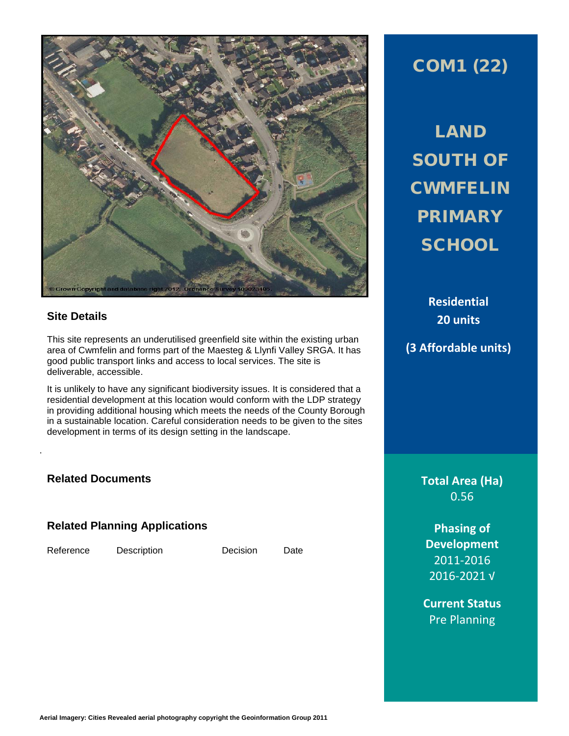

# **Site Details**

This site represents an underutilised greenfield site within the existing urban area of Cwmfelin and forms part of the Maesteg & Llynfi Valley SRGA. It has good public transport links and access to local services. The site is deliverable, accessible.

It is unlikely to have any significant biodiversity issues. It is considered that a residential development at this location would conform with the LDP strategy in providing additional housing which meets the needs of the County Borough in a sustainable location. Careful consideration needs to be given to the sites development in terms of its design setting in the landscape.

## **Related Documents**

.

## **Related Planning Applications**

Reference Description Decision Date

# COM1 (22)

LAND SOUTH OF **CWMFELIN** PRIMARY **SCHOOL** 

> **Residential 20 units**

**(3 Affordable units)**

**Total Area (Ha)** 0.56

**Phasing of Development** 2011-2016 2016-2021 √

**Current Status** Pre Planning